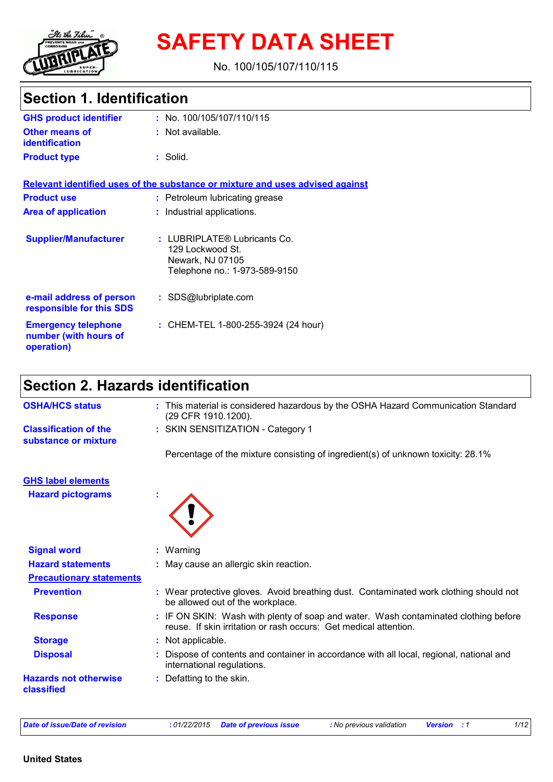

# **SAFETY DATA SHEET**

No. 100/105/107/110/115

## **Section 1. Identification**

| <b>GHS product identifier</b>                                     | : No. $100/105/107/110/115$                                                                           |
|-------------------------------------------------------------------|-------------------------------------------------------------------------------------------------------|
| <b>Other means of</b><br><b>identification</b>                    | $:$ Not available.                                                                                    |
| <b>Product type</b>                                               | $:$ Solid.                                                                                            |
|                                                                   | Relevant identified uses of the substance or mixture and uses advised against                         |
| <b>Product use</b>                                                | : Petroleum lubricating grease                                                                        |
| <b>Area of application</b>                                        | : Industrial applications.                                                                            |
| <b>Supplier/Manufacturer</b>                                      | : LUBRIPLATE® Lubricants Co.<br>129 Lockwood St.<br>Newark, NJ 07105<br>Telephone no.: 1-973-589-9150 |
| e-mail address of person<br>responsible for this SDS              | : SDS@lubriplate.com                                                                                  |
| <b>Emergency telephone</b><br>number (with hours of<br>operation) | : CHEM-TEL 1-800-255-3924 (24 hour)                                                                   |

## **Section 2. Hazards identification**

| <b>OSHA/HCS status</b>                               | : This material is considered hazardous by the OSHA Hazard Communication Standard<br>(29 CFR 1910.1200).                                                |
|------------------------------------------------------|---------------------------------------------------------------------------------------------------------------------------------------------------------|
| <b>Classification of the</b><br>substance or mixture | : SKIN SENSITIZATION - Category 1                                                                                                                       |
|                                                      | Percentage of the mixture consisting of ingredient(s) of unknown toxicity: 28.1%                                                                        |
| <b>GHS label elements</b>                            |                                                                                                                                                         |
| <b>Hazard pictograms</b>                             |                                                                                                                                                         |
| <b>Signal word</b>                                   | $:$ Warning                                                                                                                                             |
| <b>Hazard statements</b>                             | : May cause an allergic skin reaction.                                                                                                                  |
| <b>Precautionary statements</b>                      |                                                                                                                                                         |
| <b>Prevention</b>                                    | : Wear protective gloves. Avoid breathing dust. Contaminated work clothing should not<br>be allowed out of the workplace.                               |
| <b>Response</b>                                      | : IF ON SKIN: Wash with plenty of soap and water. Wash contaminated clothing before<br>reuse. If skin irritation or rash occurs: Get medical attention. |
| <b>Storage</b>                                       | : Not applicable.                                                                                                                                       |
| <b>Disposal</b>                                      | : Dispose of contents and container in accordance with all local, regional, national and<br>international regulations.                                  |
| <b>Hazards not otherwise</b><br>classified           | : Defatting to the skin.                                                                                                                                |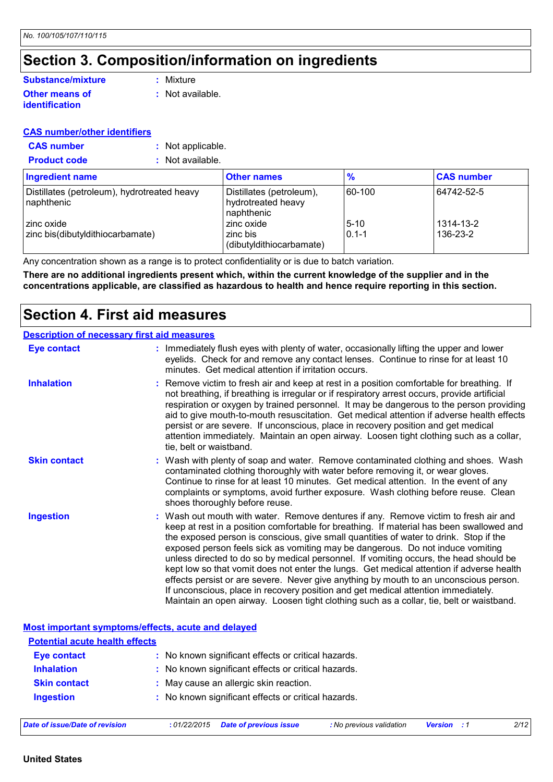## **Section 3. Composition/information on ingredients**

#### **Other means of identification Substance/mixture**

**:** Mixture

**:** Not available.

#### **CAS number/other identifiers**

- **CAS number :** Not applicable.
- **Product code :** Not available.

| Ingredient name                                           | <b>Other names</b>                                           | $\frac{9}{6}$         | <b>CAS number</b>     |
|-----------------------------------------------------------|--------------------------------------------------------------|-----------------------|-----------------------|
| Distillates (petroleum), hydrotreated heavy<br>naphthenic | Distillates (petroleum),<br>hydrotreated heavy<br>naphthenic | 60-100                | 64742-52-5            |
| zinc oxide<br>zinc bis(dibutyldithiocarbamate)            | zinc oxide<br>zinc bis<br>(dibutyldithiocarbamate)           | $5 - 10$<br>$0.1 - 1$ | 1314-13-2<br>136-23-2 |

Any concentration shown as a range is to protect confidentiality or is due to batch variation.

**There are no additional ingredients present which, within the current knowledge of the supplier and in the concentrations applicable, are classified as hazardous to health and hence require reporting in this section.**

### **Section 4. First aid measures**

#### **Description of necessary first aid measures**

| <b>Eye contact</b>  | : Immediately flush eyes with plenty of water, occasionally lifting the upper and lower<br>eyelids. Check for and remove any contact lenses. Continue to rinse for at least 10<br>minutes. Get medical attention if irritation occurs.                                                                                                                                                                                                                                                                                                                                                                                                                                                                                                                                                                                    |  |
|---------------------|---------------------------------------------------------------------------------------------------------------------------------------------------------------------------------------------------------------------------------------------------------------------------------------------------------------------------------------------------------------------------------------------------------------------------------------------------------------------------------------------------------------------------------------------------------------------------------------------------------------------------------------------------------------------------------------------------------------------------------------------------------------------------------------------------------------------------|--|
| <b>Inhalation</b>   | : Remove victim to fresh air and keep at rest in a position comfortable for breathing. If<br>not breathing, if breathing is irregular or if respiratory arrest occurs, provide artificial<br>respiration or oxygen by trained personnel. It may be dangerous to the person providing<br>aid to give mouth-to-mouth resuscitation. Get medical attention if adverse health effects<br>persist or are severe. If unconscious, place in recovery position and get medical<br>attention immediately. Maintain an open airway. Loosen tight clothing such as a collar,<br>tie, belt or waistband.                                                                                                                                                                                                                              |  |
| <b>Skin contact</b> | : Wash with plenty of soap and water. Remove contaminated clothing and shoes. Wash<br>contaminated clothing thoroughly with water before removing it, or wear gloves.<br>Continue to rinse for at least 10 minutes. Get medical attention. In the event of any<br>complaints or symptoms, avoid further exposure. Wash clothing before reuse. Clean<br>shoes thoroughly before reuse.                                                                                                                                                                                                                                                                                                                                                                                                                                     |  |
| <b>Ingestion</b>    | : Wash out mouth with water. Remove dentures if any. Remove victim to fresh air and<br>keep at rest in a position comfortable for breathing. If material has been swallowed and<br>the exposed person is conscious, give small quantities of water to drink. Stop if the<br>exposed person feels sick as vomiting may be dangerous. Do not induce vomiting<br>unless directed to do so by medical personnel. If vomiting occurs, the head should be<br>kept low so that vomit does not enter the lungs. Get medical attention if adverse health<br>effects persist or are severe. Never give anything by mouth to an unconscious person.<br>If unconscious, place in recovery position and get medical attention immediately.<br>Maintain an open airway. Loosen tight clothing such as a collar, tie, belt or waistband. |  |

**Most important symptoms/effects, acute and delayed**

| <b>Potential acute health effects</b> |                                                     |
|---------------------------------------|-----------------------------------------------------|
| <b>Eye contact</b>                    | : No known significant effects or critical hazards. |
| <b>Inhalation</b>                     | : No known significant effects or critical hazards. |
| <b>Skin contact</b>                   | : May cause an allergic skin reaction.              |
| <b>Ingestion</b>                      | : No known significant effects or critical hazards. |
|                                       |                                                     |
|                                       | .                                                   |

| Date of issue/Date of revision | : 01/22/2015 Date of previous issue | : No previous validation | <b>Version</b> : 1 | 2/12 |  |
|--------------------------------|-------------------------------------|--------------------------|--------------------|------|--|
|                                |                                     |                          |                    |      |  |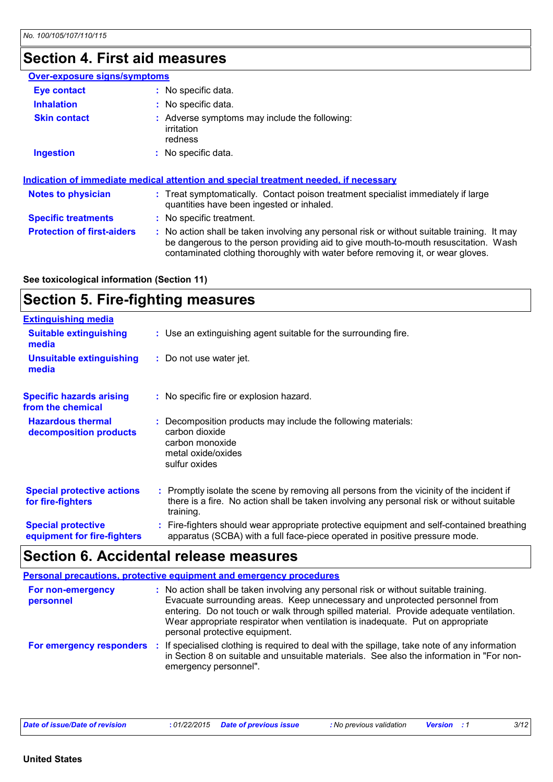## **Section 4. First aid measures**

| Over-exposure signs/symptoms      |                                                                                                                                                                                                                                                                       |
|-----------------------------------|-----------------------------------------------------------------------------------------------------------------------------------------------------------------------------------------------------------------------------------------------------------------------|
| <b>Eye contact</b>                | : No specific data.                                                                                                                                                                                                                                                   |
| <b>Inhalation</b>                 | : No specific data.                                                                                                                                                                                                                                                   |
| <b>Skin contact</b>               | : Adverse symptoms may include the following:<br>irritation<br>redness                                                                                                                                                                                                |
| <b>Ingestion</b>                  | : No specific data.                                                                                                                                                                                                                                                   |
|                                   | Indication of immediate medical attention and special treatment needed, if necessary                                                                                                                                                                                  |
| <b>Notes to physician</b>         | : Treat symptomatically. Contact poison treatment specialist immediately if large<br>quantities have been ingested or inhaled.                                                                                                                                        |
| <b>Specific treatments</b>        | : No specific treatment.                                                                                                                                                                                                                                              |
| <b>Protection of first-aiders</b> | : No action shall be taken involving any personal risk or without suitable training. It may<br>be dangerous to the person providing aid to give mouth-to-mouth resuscitation. Wash<br>contaminated clothing thoroughly with water before removing it, or wear gloves. |

#### **See toxicological information (Section 11)**

## **Section 5. Fire-fighting measures**

| <b>Extinguishing media</b>                               |                                                                                                                                                                                                     |
|----------------------------------------------------------|-----------------------------------------------------------------------------------------------------------------------------------------------------------------------------------------------------|
| <b>Suitable extinguishing</b><br>media                   | : Use an extinguishing agent suitable for the surrounding fire.                                                                                                                                     |
| <b>Unsuitable extinguishing</b><br>media                 | : Do not use water jet.                                                                                                                                                                             |
| <b>Specific hazards arising</b><br>from the chemical     | : No specific fire or explosion hazard.                                                                                                                                                             |
| <b>Hazardous thermal</b><br>decomposition products       | : Decomposition products may include the following materials:<br>carbon dioxide<br>carbon monoxide<br>metal oxide/oxides<br>sulfur oxides                                                           |
| <b>Special protective actions</b><br>for fire-fighters   | : Promptly isolate the scene by removing all persons from the vicinity of the incident if<br>there is a fire. No action shall be taken involving any personal risk or without suitable<br>training. |
| <b>Special protective</b><br>equipment for fire-fighters | Fire-fighters should wear appropriate protective equipment and self-contained breathing<br>apparatus (SCBA) with a full face-piece operated in positive pressure mode.                              |

## **Section 6. Accidental release measures**

|                                |      | <b>Personal precautions, protective equipment and emergency procedures</b>                                                                                                                                                                                                                                                                                                        |
|--------------------------------|------|-----------------------------------------------------------------------------------------------------------------------------------------------------------------------------------------------------------------------------------------------------------------------------------------------------------------------------------------------------------------------------------|
| For non-emergency<br>personnel |      | : No action shall be taken involving any personal risk or without suitable training.<br>Evacuate surrounding areas. Keep unnecessary and unprotected personnel from<br>entering. Do not touch or walk through spilled material. Provide adequate ventilation.<br>Wear appropriate respirator when ventilation is inadequate. Put on appropriate<br>personal protective equipment. |
| For emergency responders       | - 11 | If specialised clothing is required to deal with the spillage, take note of any information<br>in Section 8 on suitable and unsuitable materials. See also the information in "For non-<br>emergency personnel".                                                                                                                                                                  |

|  | Date of issue/Date of revision<br>01/22/2015 | <b>Date of previous issue</b> | <b>:</b> No previous validation | <b>Version</b> | 3/12 |
|--|----------------------------------------------|-------------------------------|---------------------------------|----------------|------|
|--|----------------------------------------------|-------------------------------|---------------------------------|----------------|------|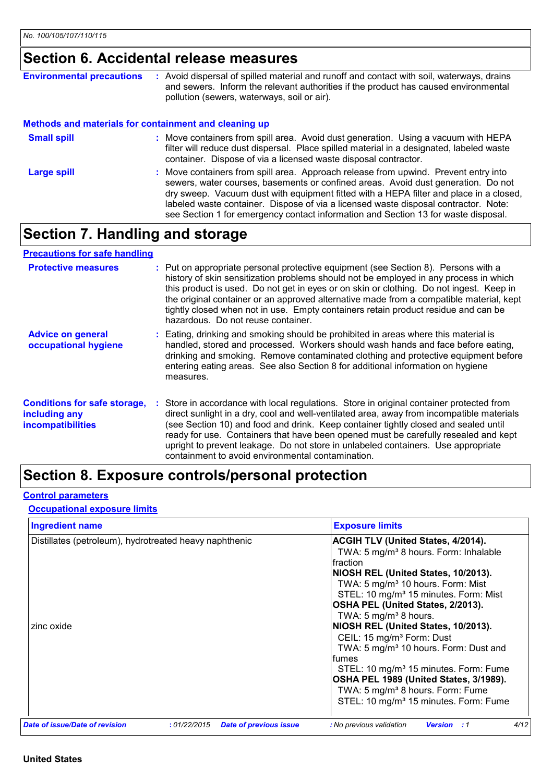## **Section 6. Accidental release measures**

| <b>Environmental precautions</b>                             | : Avoid dispersal of spilled material and runoff and contact with soil, waterways, drains<br>and sewers. Inform the relevant authorities if the product has caused environmental                                                                                                                                                                                                                                                                |
|--------------------------------------------------------------|-------------------------------------------------------------------------------------------------------------------------------------------------------------------------------------------------------------------------------------------------------------------------------------------------------------------------------------------------------------------------------------------------------------------------------------------------|
|                                                              | pollution (sewers, waterways, soil or air).                                                                                                                                                                                                                                                                                                                                                                                                     |
| <b>Methods and materials for containment and cleaning up</b> |                                                                                                                                                                                                                                                                                                                                                                                                                                                 |
| <b>Small spill</b>                                           | : Move containers from spill area. Avoid dust generation. Using a vacuum with HEPA<br>filter will reduce dust dispersal. Place spilled material in a designated, labeled waste<br>container. Dispose of via a licensed waste disposal contractor.                                                                                                                                                                                               |
| <b>Large spill</b>                                           | : Move containers from spill area. Approach release from upwind. Prevent entry into<br>sewers, water courses, basements or confined areas. Avoid dust generation. Do not<br>dry sweep. Vacuum dust with equipment fitted with a HEPA filter and place in a closed,<br>labeled waste container. Dispose of via a licensed waste disposal contractor. Note:<br>see Section 1 for emergency contact information and Section 13 for waste disposal. |

## **Section 7. Handling and storage**

#### **Precautions for safe handling**

| <b>Protective measures</b>                                                       | : Put on appropriate personal protective equipment (see Section 8). Persons with a<br>history of skin sensitization problems should not be employed in any process in which<br>this product is used. Do not get in eyes or on skin or clothing. Do not ingest. Keep in<br>the original container or an approved alternative made from a compatible material, kept<br>tightly closed when not in use. Empty containers retain product residue and can be<br>hazardous. Do not reuse container.                     |
|----------------------------------------------------------------------------------|-------------------------------------------------------------------------------------------------------------------------------------------------------------------------------------------------------------------------------------------------------------------------------------------------------------------------------------------------------------------------------------------------------------------------------------------------------------------------------------------------------------------|
| <b>Advice on general</b><br>occupational hygiene                                 | : Eating, drinking and smoking should be prohibited in areas where this material is<br>handled, stored and processed. Workers should wash hands and face before eating,<br>drinking and smoking. Remove contaminated clothing and protective equipment before<br>entering eating areas. See also Section 8 for additional information on hygiene<br>measures.                                                                                                                                                     |
| <b>Conditions for safe storage,</b><br>including any<br><b>incompatibilities</b> | Store in accordance with local regulations. Store in original container protected from<br>÷.<br>direct sunlight in a dry, cool and well-ventilated area, away from incompatible materials<br>(see Section 10) and food and drink. Keep container tightly closed and sealed until<br>ready for use. Containers that have been opened must be carefully resealed and kept<br>upright to prevent leakage. Do not store in unlabeled containers. Use appropriate<br>containment to avoid environmental contamination. |

## **Section 8. Exposure controls/personal protection**

#### **Control parameters**

#### **Occupational exposure limits**

| <b>Ingredient name</b>                                               | <b>Exposure limits</b>                                                                                                                                                                                                                                                                                                                                                                                                                                                                                                                                                                                                                                                                               |
|----------------------------------------------------------------------|------------------------------------------------------------------------------------------------------------------------------------------------------------------------------------------------------------------------------------------------------------------------------------------------------------------------------------------------------------------------------------------------------------------------------------------------------------------------------------------------------------------------------------------------------------------------------------------------------------------------------------------------------------------------------------------------------|
| Distillates (petroleum), hydrotreated heavy naphthenic<br>zinc oxide | <b>ACGIH TLV (United States, 4/2014).</b><br>TWA: 5 mg/m <sup>3</sup> 8 hours. Form: Inhalable<br><b>I</b> fraction<br>NIOSH REL (United States, 10/2013).<br>TWA: 5 mg/m <sup>3</sup> 10 hours. Form: Mist<br>STEL: 10 mg/m <sup>3</sup> 15 minutes. Form: Mist<br>OSHA PEL (United States, 2/2013).<br>TWA: 5 mg/m <sup>3</sup> 8 hours.<br>NIOSH REL (United States, 10/2013).<br>CEIL: 15 mg/m <sup>3</sup> Form: Dust<br>TWA: 5 mg/m <sup>3</sup> 10 hours. Form: Dust and<br><b>Ifumes</b><br>STEL: 10 mg/m <sup>3</sup> 15 minutes. Form: Fume<br>OSHA PEL 1989 (United States, 3/1989).<br>TWA: 5 mg/m <sup>3</sup> 8 hours. Form: Fume<br>STEL: 10 mg/m <sup>3</sup> 15 minutes. Form: Fume |
| Date of issue/Date of revision<br>:01/22/2015                        | <b>Date of previous issue</b><br>4/12<br>: No previous validation<br><b>Version</b> : 1                                                                                                                                                                                                                                                                                                                                                                                                                                                                                                                                                                                                              |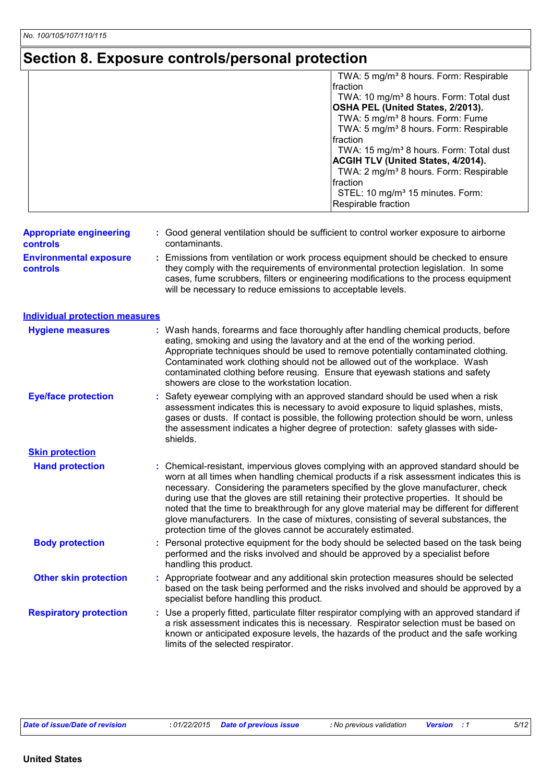## **Section 8. Exposure controls/personal protection**

|                                                  | TWA: 5 mg/m <sup>3</sup> 8 hours. Form: Respirable<br>fraction<br>TWA: 10 mg/m <sup>3</sup> 8 hours. Form: Total dust<br>OSHA PEL (United States, 2/2013).                                                                                                                                                                                                                                                                                                                                                                                                                                                           |
|--------------------------------------------------|----------------------------------------------------------------------------------------------------------------------------------------------------------------------------------------------------------------------------------------------------------------------------------------------------------------------------------------------------------------------------------------------------------------------------------------------------------------------------------------------------------------------------------------------------------------------------------------------------------------------|
|                                                  | TWA: 5 mg/m <sup>3</sup> 8 hours. Form: Fume<br>TWA: 5 mg/m <sup>3</sup> 8 hours. Form: Respirable                                                                                                                                                                                                                                                                                                                                                                                                                                                                                                                   |
|                                                  | fraction<br>TWA: 15 mg/m <sup>3</sup> 8 hours. Form: Total dust<br>ACGIH TLV (United States, 4/2014).<br>TWA: 2 mg/m <sup>3</sup> 8 hours. Form: Respirable<br>fraction                                                                                                                                                                                                                                                                                                                                                                                                                                              |
|                                                  | STEL: 10 mg/m <sup>3</sup> 15 minutes. Form:<br>Respirable fraction                                                                                                                                                                                                                                                                                                                                                                                                                                                                                                                                                  |
| <b>Appropriate engineering</b><br>controls       | : Good general ventilation should be sufficient to control worker exposure to airborne<br>contaminants.                                                                                                                                                                                                                                                                                                                                                                                                                                                                                                              |
| <b>Environmental exposure</b><br><b>controls</b> | Emissions from ventilation or work process equipment should be checked to ensure<br>they comply with the requirements of environmental protection legislation. In some<br>cases, fume scrubbers, filters or engineering modifications to the process equipment<br>will be necessary to reduce emissions to acceptable levels.                                                                                                                                                                                                                                                                                        |
| <b>Individual protection measures</b>            |                                                                                                                                                                                                                                                                                                                                                                                                                                                                                                                                                                                                                      |
| <b>Hygiene measures</b>                          | Wash hands, forearms and face thoroughly after handling chemical products, before<br>eating, smoking and using the lavatory and at the end of the working period.<br>Appropriate techniques should be used to remove potentially contaminated clothing.<br>Contaminated work clothing should not be allowed out of the workplace. Wash<br>contaminated clothing before reusing. Ensure that eyewash stations and safety<br>showers are close to the workstation location.                                                                                                                                            |
| <b>Eye/face protection</b>                       | Safety eyewear complying with an approved standard should be used when a risk<br>assessment indicates this is necessary to avoid exposure to liquid splashes, mists,<br>gases or dusts. If contact is possible, the following protection should be worn, unless<br>the assessment indicates a higher degree of protection: safety glasses with side-<br>shields.                                                                                                                                                                                                                                                     |
| <b>Skin protection</b>                           |                                                                                                                                                                                                                                                                                                                                                                                                                                                                                                                                                                                                                      |
| <b>Hand protection</b>                           | Chemical-resistant, impervious gloves complying with an approved standard should be<br>worn at all times when handling chemical products if a risk assessment indicates this is<br>necessary. Considering the parameters specified by the glove manufacturer, check<br>during use that the gloves are still retaining their protective properties. It should be<br>noted that the time to breakthrough for any glove material may be different for different<br>glove manufacturers. In the case of mixtures, consisting of several substances, the<br>protection time of the gloves cannot be accurately estimated. |
| <b>Body protection</b>                           | : Personal protective equipment for the body should be selected based on the task being<br>performed and the risks involved and should be approved by a specialist before<br>handling this product.                                                                                                                                                                                                                                                                                                                                                                                                                  |
| <b>Other skin protection</b>                     | Appropriate footwear and any additional skin protection measures should be selected<br>based on the task being performed and the risks involved and should be approved by a<br>specialist before handling this product.                                                                                                                                                                                                                                                                                                                                                                                              |
| <b>Respiratory protection</b>                    | Use a properly fitted, particulate filter respirator complying with an approved standard if<br>a risk assessment indicates this is necessary. Respirator selection must be based on<br>known or anticipated exposure levels, the hazards of the product and the safe working<br>limits of the selected respirator.                                                                                                                                                                                                                                                                                                   |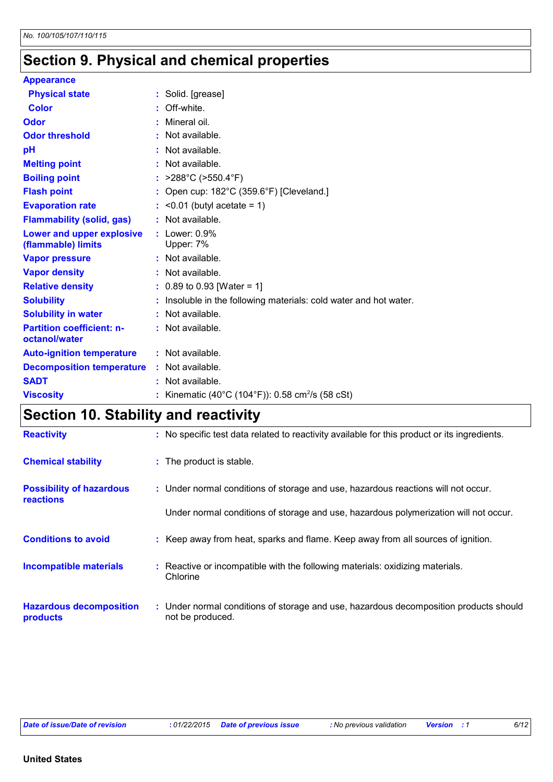## **Section 9. Physical and chemical properties**

| <b>Appearance</b>                |                                                                   |
|----------------------------------|-------------------------------------------------------------------|
| <b>Physical state</b>            | : Solid. [grease]                                                 |
| <b>Color</b>                     | $:$ Off-white.                                                    |
| <b>Odor</b>                      | Mineral oil.                                                      |
| <b>Odor threshold</b>            | Not available.                                                    |
| pH                               | $:$ Not available.                                                |
| <b>Melting point</b>             | : Not available.                                                  |
| <b>Boiling point</b>             | : $>288^{\circ}$ C ( $>550.4^{\circ}$ F)                          |
| <b>Flash point</b>               | Open cup: 182°C (359.6°F) [Cleveland.]                            |
| <b>Evaporation rate</b>          | $:$ <0.01 (butyl acetate = 1)                                     |
| <b>Flammability (solid, gas)</b> | : Not available.                                                  |
| Lower and upper explosive        | $:$ Lower: $0.9\%$                                                |
| (flammable) limits               | Upper: 7%                                                         |
| <b>Vapor pressure</b>            | $:$ Not available.                                                |
| <b>Vapor density</b>             | : Not available.                                                  |
| <b>Relative density</b>          | $: 0.89$ to 0.93 [Water = 1]                                      |
| <b>Solubility</b>                | : Insoluble in the following materials: cold water and hot water. |
| <b>Solubility in water</b>       | : Not available.                                                  |
| <b>Partition coefficient: n-</b> | $:$ Not available.                                                |
| octanol/water                    |                                                                   |
| <b>Auto-ignition temperature</b> | $:$ Not available.                                                |
| <b>Decomposition temperature</b> | $:$ Not available.                                                |
| <b>SADT</b>                      | $:$ Not available.                                                |
| <b>Viscosity</b>                 | Kinematic (40°C (104°F)): 0.58 cm <sup>2</sup> /s (58 cSt)        |

## **Section 10. Stability and reactivity**

| <b>Reactivity</b>                                   | : No specific test data related to reactivity available for this product or its ingredients.              |
|-----------------------------------------------------|-----------------------------------------------------------------------------------------------------------|
| <b>Chemical stability</b>                           | : The product is stable.                                                                                  |
| <b>Possibility of hazardous</b><br><b>reactions</b> | : Under normal conditions of storage and use, hazardous reactions will not occur.                         |
|                                                     | Under normal conditions of storage and use, hazardous polymerization will not occur.                      |
| <b>Conditions to avoid</b>                          | : Keep away from heat, sparks and flame. Keep away from all sources of ignition.                          |
| <b>Incompatible materials</b>                       | Reactive or incompatible with the following materials: oxidizing materials.<br>Chlorine                   |
| <b>Hazardous decomposition</b><br>products          | : Under normal conditions of storage and use, hazardous decomposition products should<br>not be produced. |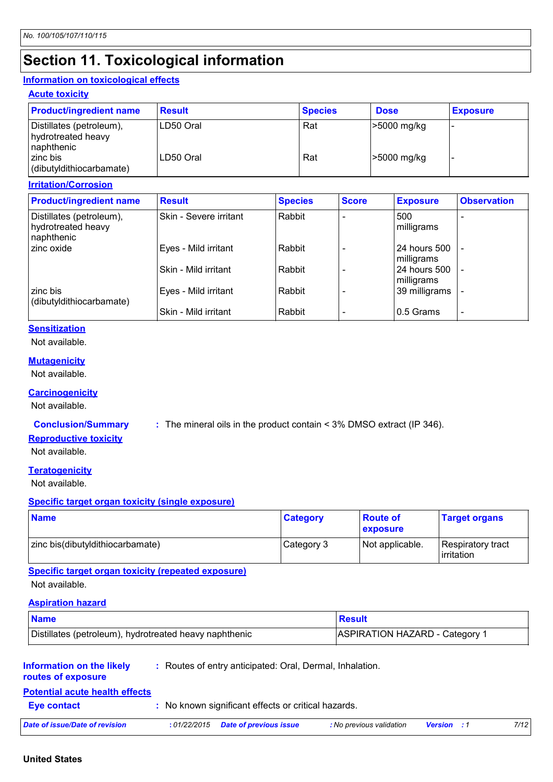## **Section 11. Toxicological information**

#### **Information on toxicological effects**

#### **Acute toxicity**

| <b>Product/ingredient name</b>                               | <b>Result</b> | <b>Species</b> | <b>Dose</b> | <b>Exposure</b> |
|--------------------------------------------------------------|---------------|----------------|-------------|-----------------|
| Distillates (petroleum),<br>hydrotreated heavy<br>naphthenic | LD50 Oral     | Rat            | -5000 mg/kg |                 |
| zinc bis<br>(dibutyldithiocarbamate)                         | LD50 Oral     | Rat            | -5000 mg/kg |                 |

#### **Irritation/Corrosion**

| <b>Product/ingredient name</b>                               | <b>Result</b>          | <b>Species</b> | <b>Score</b> | <b>Exposure</b>            | <b>Observation</b>       |
|--------------------------------------------------------------|------------------------|----------------|--------------|----------------------------|--------------------------|
| Distillates (petroleum),<br>hydrotreated heavy<br>naphthenic | Skin - Severe irritant | Rabbit         |              | 500<br>milligrams          |                          |
| Izinc oxide                                                  | Eyes - Mild irritant   | Rabbit         |              | 24 hours 500<br>milligrams |                          |
|                                                              | Skin - Mild irritant   | Rabbit         |              | 24 hours 500<br>milligrams | $\overline{\phantom{a}}$ |
| zinc bis<br>(dibutyldithiocarbamate)                         | Eyes - Mild irritant   | Rabbit         |              | 39 milligrams              |                          |
|                                                              | Skin - Mild irritant   | Rabbit         |              | 0.5 Grams                  | ٠                        |

#### **Sensitization**

Not available.

#### **Mutagenicity**

Not available.

#### **Carcinogenicity**

Not available.

**Conclusion/Summary :** The mineral oils in the product contain < 3% DMSO extract (IP 346).

#### **Reproductive toxicity**

Not available.

#### **Teratogenicity**

Not available.

#### **Specific target organ toxicity (single exposure)**

| <b>Name</b>                      | <b>Category</b> | <b>Route of</b><br><b>exposure</b> | <b>Target organs</b>              |
|----------------------------------|-----------------|------------------------------------|-----------------------------------|
| zinc bis(dibutyldithiocarbamate) | Category 3      | Not applicable.                    | Respiratory tract<br>l irritation |

### **Specific target organ toxicity (repeated exposure)**

Not available.

#### **Aspiration hazard**

| <b>Name</b>                                            | <b>Result</b>                  |
|--------------------------------------------------------|--------------------------------|
| Distillates (petroleum), hydrotreated heavy naphthenic | ASPIRATION HAZARD - Category 1 |

#### **Information on the likely**

**:** Routes of entry anticipated: Oral, Dermal, Inhalation.

#### **routes of exposure**

#### **Potential acute health effects**

**Eye contact :** No known significant effects or critical hazards.

| Date of issue/Date of revision<br>: <i>01/22/2015</i> | Date of previous issue | <b>:</b> No previous validation | <b>Version</b> | 7/12 |
|-------------------------------------------------------|------------------------|---------------------------------|----------------|------|
|-------------------------------------------------------|------------------------|---------------------------------|----------------|------|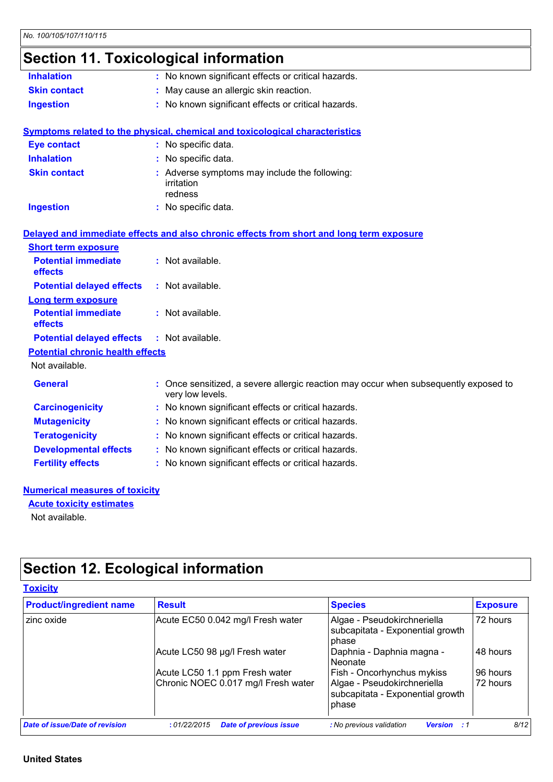## **Section 11. Toxicological information**

| <b>Inhalation</b>                       | : No known significant effects or critical hazards.                                                      |
|-----------------------------------------|----------------------------------------------------------------------------------------------------------|
| <b>Skin contact</b>                     | May cause an allergic skin reaction.                                                                     |
| <b>Ingestion</b>                        | : No known significant effects or critical hazards.                                                      |
|                                         | <b>Symptoms related to the physical, chemical and toxicological characteristics</b>                      |
| <b>Eye contact</b>                      | : No specific data.                                                                                      |
| <b>Inhalation</b>                       | : No specific data.                                                                                      |
| <b>Skin contact</b>                     | : Adverse symptoms may include the following:<br>irritation<br>redness                                   |
| <b>Ingestion</b>                        | : No specific data.                                                                                      |
|                                         | Delayed and immediate effects and also chronic effects from short and long term exposure                 |
| <b>Short term exposure</b>              |                                                                                                          |
| <b>Potential immediate</b><br>effects   | : Not available.                                                                                         |
| <b>Potential delayed effects</b>        | : Not available.                                                                                         |
| <b>Long term exposure</b>               |                                                                                                          |
| <b>Potential immediate</b><br>effects   | : Not available.                                                                                         |
| <b>Potential delayed effects</b>        | : Not available.                                                                                         |
| <b>Potential chronic health effects</b> |                                                                                                          |
| Not available.                          |                                                                                                          |
| <b>General</b>                          | : Once sensitized, a severe allergic reaction may occur when subsequently exposed to<br>very low levels. |
| <b>Carcinogenicity</b>                  | : No known significant effects or critical hazards.                                                      |
| <b>Mutagenicity</b>                     | No known significant effects or critical hazards.                                                        |
| <b>Teratogenicity</b>                   | No known significant effects or critical hazards.                                                        |
| <b>Developmental effects</b>            | : No known significant effects or critical hazards.                                                      |
| <b>Fertility effects</b>                | : No known significant effects or critical hazards.                                                      |
|                                         |                                                                                                          |

#### **Numerical measures of toxicity**

Not available. **Acute toxicity estimates**

## **Section 12. Ecological information**

| <b>Product/ingredient name</b> | <b>Result</b>                       | <b>Species</b>                                                           | <b>Exposure</b> |
|--------------------------------|-------------------------------------|--------------------------------------------------------------------------|-----------------|
| zinc oxide                     | Acute EC50 0.042 mg/l Fresh water   | Algae - Pseudokirchneriella<br>subcapitata - Exponential growth<br>phase | 72 hours        |
|                                | Acute LC50 98 µg/l Fresh water      | Daphnia - Daphnia magna -<br>Neonate                                     | 48 hours        |
|                                | Acute LC50 1.1 ppm Fresh water      | Fish - Oncorhynchus mykiss                                               | 96 hours        |
|                                | Chronic NOEC 0.017 mg/l Fresh water | Algae - Pseudokirchneriella<br>subcapitata - Exponential growth<br>phase | 72 hours        |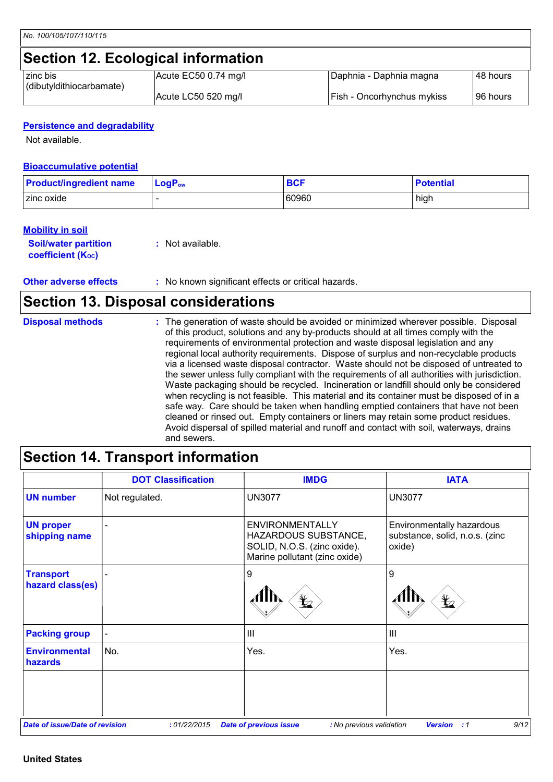## **Section 12. Ecological information**

| I zinc bis               | Acute EC50 0.74 mg/l | Daphnia - Daphnia magna           | I48 hours  |
|--------------------------|----------------------|-----------------------------------|------------|
| (dibutyldithiocarbamate) | Acute LC50 520 mg/l  | <b>Fish - Oncorhynchus mykiss</b> | l 96 hours |

#### **Persistence and degradability**

Not available.

#### **Bioaccumulative potential**

| <b>Product/ingredient name</b> | $LogP_{ow}$ | <b>BCF</b> | <b>Potential</b> |
|--------------------------------|-------------|------------|------------------|
| zinc oxide                     |             | 60960      | high             |

#### **Mobility in soil**

| <b>Soil/water partition</b> | $:$ Not available. |
|-----------------------------|--------------------|
| <b>coefficient (Koc)</b>    |                    |

**Other adverse effects** : No known significant effects or critical hazards.

### **Section 13. Disposal considerations**

| <b>Disposal methods</b> | : The generation of waste should be avoided or minimized wherever possible. Disposal<br>of this product, solutions and any by-products should at all times comply with the<br>requirements of environmental protection and waste disposal legislation and any<br>regional local authority requirements. Dispose of surplus and non-recyclable products<br>via a licensed waste disposal contractor. Waste should not be disposed of untreated to<br>the sewer unless fully compliant with the requirements of all authorities with jurisdiction.<br>Waste packaging should be recycled. Incineration or landfill should only be considered<br>when recycling is not feasible. This material and its container must be disposed of in a<br>safe way. Care should be taken when handling emptied containers that have not been<br>cleaned or rinsed out. Empty containers or liners may retain some product residues.<br>Avoid dispersal of spilled material and runoff and contact with soil, waterways, drains |
|-------------------------|----------------------------------------------------------------------------------------------------------------------------------------------------------------------------------------------------------------------------------------------------------------------------------------------------------------------------------------------------------------------------------------------------------------------------------------------------------------------------------------------------------------------------------------------------------------------------------------------------------------------------------------------------------------------------------------------------------------------------------------------------------------------------------------------------------------------------------------------------------------------------------------------------------------------------------------------------------------------------------------------------------------|
|                         | and sewers.                                                                                                                                                                                                                                                                                                                                                                                                                                                                                                                                                                                                                                                                                                                                                                                                                                                                                                                                                                                                    |

## **Section 14. Transport information**

|                                       | <b>DOT Classification</b> | <b>IMDG</b>                                                                                                           | <b>IATA</b>                                                           |
|---------------------------------------|---------------------------|-----------------------------------------------------------------------------------------------------------------------|-----------------------------------------------------------------------|
| <b>UN number</b>                      | Not regulated.            | <b>UN3077</b>                                                                                                         | <b>UN3077</b>                                                         |
| <b>UN proper</b><br>shipping name     |                           | <b>ENVIRONMENTALLY</b><br><b>HAZARDOUS SUBSTANCE,</b><br>SOLID, N.O.S. (zinc oxide).<br>Marine pollutant (zinc oxide) | Environmentally hazardous<br>substance, solid, n.o.s. (zinc<br>oxide) |
| <b>Transport</b><br>hazard class(es)  |                           | 9<br>$\mathbf{z}$                                                                                                     | 9<br>$\bigstar$                                                       |
| <b>Packing group</b>                  |                           | $\mathbf{III}$                                                                                                        | $\mathbf{III}$                                                        |
| <b>Environmental</b><br>hazards       | No.                       | Yes.                                                                                                                  | Yes.                                                                  |
|                                       |                           |                                                                                                                       |                                                                       |
| <b>Date of issue/Date of revision</b> | :01/22/2015               | <b>Date of previous issue</b><br>: No previous validation                                                             | 9/12<br><b>Version : 1</b>                                            |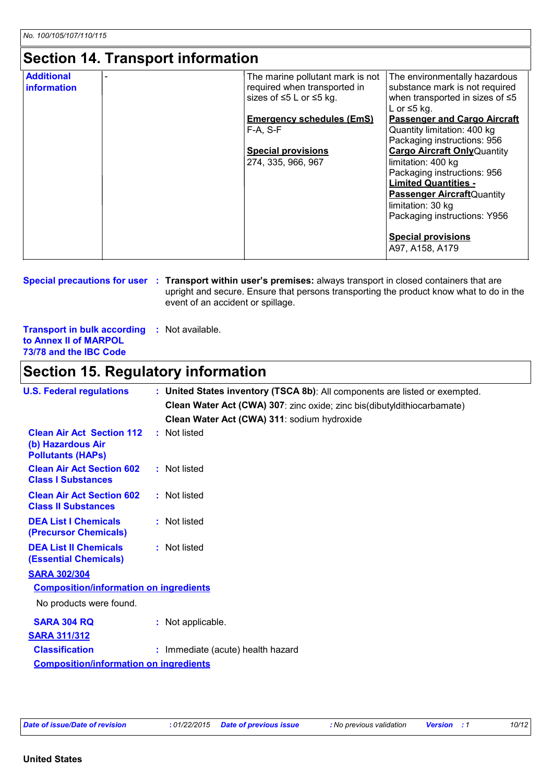### **Section 14. Transport information**

| <b>Additional</b><br>information | The marine pollutant mark is not<br>required when transported in<br>sizes of $\leq 5$ L or $\leq 5$ kg. | The environmentally hazardous<br>substance mark is not required<br>when transported in sizes of $\leq 5$<br>L or $\leq$ 5 kg. |
|----------------------------------|---------------------------------------------------------------------------------------------------------|-------------------------------------------------------------------------------------------------------------------------------|
|                                  | <b>Emergency schedules (EmS)</b>                                                                        | <b>Passenger and Cargo Aircraft</b>                                                                                           |
|                                  | $F-A, S-F$                                                                                              | Quantity limitation: 400 kg                                                                                                   |
|                                  |                                                                                                         | Packaging instructions: 956                                                                                                   |
|                                  | <b>Special provisions</b>                                                                               | <b>Cargo Aircraft Only Quantity</b>                                                                                           |
|                                  | 274, 335, 966, 967                                                                                      | limitation: 400 kg                                                                                                            |
|                                  |                                                                                                         | Packaging instructions: 956                                                                                                   |
|                                  |                                                                                                         | <b>Limited Quantities -</b><br><b>Passenger Aircraft</b> Quantity                                                             |
|                                  |                                                                                                         | limitation: 30 kg                                                                                                             |
|                                  |                                                                                                         | Packaging instructions: Y956                                                                                                  |
|                                  |                                                                                                         | <b>Special provisions</b>                                                                                                     |
|                                  |                                                                                                         | A97, A158, A179                                                                                                               |

**Special precautions for user** : Transport within user's premises: always transport in closed containers that are upright and secure. Ensure that persons transporting the product know what to do in the event of an accident or spillage.

**Transport in bulk according :** Not available. **to Annex II of MARPOL 73/78 and the IBC Code**

### **Section 15. Regulatory information**

| <b>U.S. Federal regulations</b>                                                   | : United States inventory (TSCA 8b): All components are listed or exempted. |
|-----------------------------------------------------------------------------------|-----------------------------------------------------------------------------|
|                                                                                   | Clean Water Act (CWA) 307: zinc oxide; zinc bis(dibutyldithiocarbamate)     |
|                                                                                   | Clean Water Act (CWA) 311: sodium hydroxide                                 |
| <b>Clean Air Act Section 112</b><br>(b) Hazardous Air<br><b>Pollutants (HAPS)</b> | : Not listed                                                                |
| <b>Clean Air Act Section 602</b><br><b>Class I Substances</b>                     | : Not listed                                                                |
| <b>Clean Air Act Section 602</b><br><b>Class II Substances</b>                    | : Not listed                                                                |
| <b>DEA List I Chemicals</b><br>(Precursor Chemicals)                              | : Not listed                                                                |
| <b>DEA List II Chemicals</b><br><b>(Essential Chemicals)</b>                      | : Not listed                                                                |
| <b>SARA 302/304</b>                                                               |                                                                             |
| <b>Composition/information on ingredients</b>                                     |                                                                             |
| No products were found.                                                           |                                                                             |
| <b>SARA 304 RQ</b>                                                                | : Not applicable.                                                           |
| <b>SARA 311/312</b>                                                               |                                                                             |
| <b>Classification</b>                                                             | : Immediate (acute) health hazard                                           |
| <b>Composition/information on ingredients</b>                                     |                                                                             |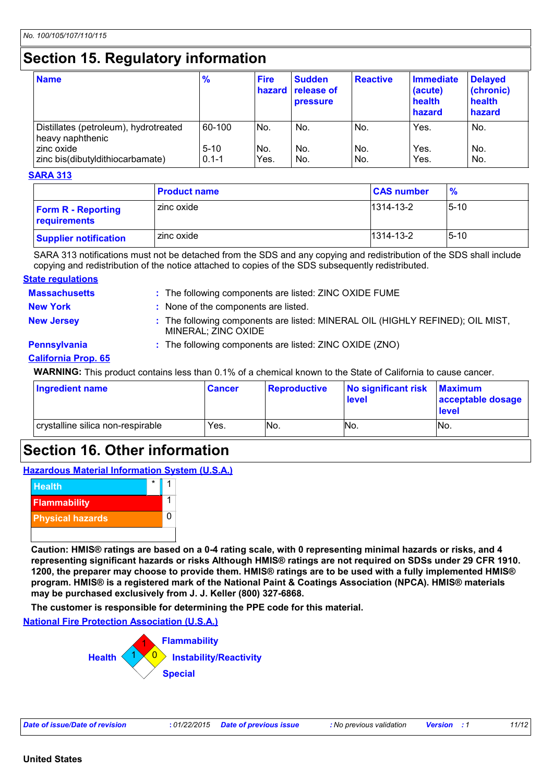## **Section 15. Regulatory information**

| <b>Name</b>                                                                                                 | $\frac{9}{6}$                 | <b>Fire</b><br>hazard | <b>Sudden</b><br><b>release of</b><br>pressure | <b>Reactive</b>   | Immediate<br>(acute)<br>health<br>hazard | <b>Delayed</b><br>(chronic)<br>health<br>hazard |
|-------------------------------------------------------------------------------------------------------------|-------------------------------|-----------------------|------------------------------------------------|-------------------|------------------------------------------|-------------------------------------------------|
| Distillates (petroleum), hydrotreated<br>heavy naphthenic<br>zinc oxide<br>zinc bis(dibutyldithiocarbamate) | 60-100<br>$5-10$<br>$0.1 - 1$ | No.<br>No.<br>Yes.    | No.<br>No.<br>No.                              | No.<br>No.<br>No. | Yes.<br>Yes.<br>Yes.                     | No.<br>No.<br>No.                               |

#### **SARA 313**

|                                           | <b>Product name</b> | <b>CAS number</b> | $\frac{9}{6}$ |
|-------------------------------------------|---------------------|-------------------|---------------|
| <b>Form R - Reporting</b><br>requirements | zinc oxide          | 1314-13-2         | $5 - 10$      |
| <b>Supplier notification</b>              | zinc oxide          | 1314-13-2         | $5-10$        |

SARA 313 notifications must not be detached from the SDS and any copying and redistribution of the SDS shall include copying and redistribution of the notice attached to copies of the SDS subsequently redistributed.

#### **State regulations**

| <b>Massachusetts</b> | : The following components are listed: ZINC OXIDE FUME                                                |
|----------------------|-------------------------------------------------------------------------------------------------------|
| <b>New York</b>      | : None of the components are listed.                                                                  |
| <b>New Jersey</b>    | : The following components are listed: MINERAL OIL (HIGHLY REFINED); OIL MIST,<br>MINERAL; ZINC OXIDE |
| <b>Pennsylvania</b>  | : The following components are listed: ZINC OXIDE (ZNO)                                               |
|                      |                                                                                                       |

#### **California Prop. 65**

**WARNING:** This product contains less than 0.1% of a chemical known to the State of California to cause cancer.

| <b>Ingredient name</b>            | <b>Cancer</b> | <b>Reproductive</b> | No significant risk<br><b>level</b> | <b>Maximum</b><br>acceptable dosage<br><b>I</b> evel |
|-----------------------------------|---------------|---------------------|-------------------------------------|------------------------------------------------------|
| crystalline silica non-respirable | Yes.          | INo.                | No.                                 | INo.                                                 |

### **Section 16. Other information**





**Caution: HMIS® ratings are based on a 0-4 rating scale, with 0 representing minimal hazards or risks, and 4 representing significant hazards or risks Although HMIS® ratings are not required on SDSs under 29 CFR 1910. 1200, the preparer may choose to provide them. HMIS® ratings are to be used with a fully implemented HMIS® program. HMIS® is a registered mark of the National Paint & Coatings Association (NPCA). HMIS® materials may be purchased exclusively from J. J. Keller (800) 327-6868.**

**The customer is responsible for determining the PPE code for this material.**

**National Fire Protection Association (U.S.A.)**